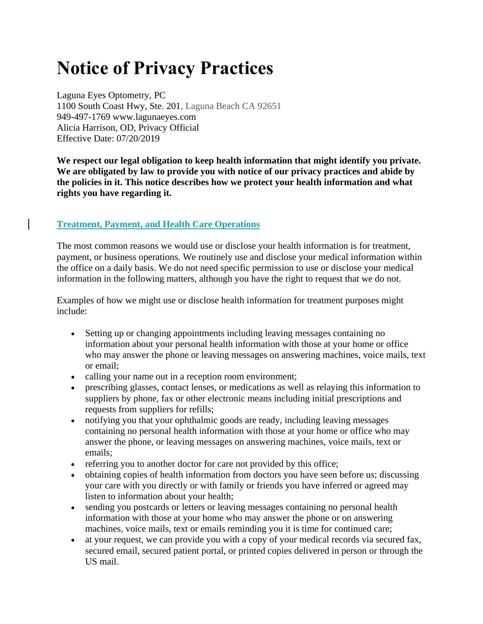# **Notice of Privacy Practices**

Laguna Eyes Optometry, PC 1100 South Coast Hwy, Ste. 201, Laguna Beach CA 92651 949-497-1769 www.lagunaeyes.com Alicia Harrison, OD, Privacy Official Effective Date: 07/20/2019

**We respect our legal obligation to keep health information that might identify you private. We are obligated by law to provide you with notice of our privacy practices and abide by the policies in it. This notice describes how we protect your health information and what rights you have regarding it.**

## **Treatment, Payment, and Health Care Operations**

The most common reasons we would use or disclose your health information is for treatment, payment, or business operations. We routinely use and disclose your medical information within the office on a daily basis. We do not need specific permission to use or disclose your medical information in the following matters, although you have the right to request that we do not.

Examples of how we might use or disclose health information for treatment purposes might include:

- Setting up or changing appointments including leaving messages containing no information about your personal health information with those at your home or office who may answer the phone or leaving messages on answering machines, voice mails, text or email;
- calling your name out in a reception room environment;
- prescribing glasses, contact lenses, or medications as well as relaying this information to suppliers by phone, fax or other electronic means including initial prescriptions and requests from suppliers for refills;
- notifying you that your ophthalmic goods are ready, including leaving messages containing no personal health information with those at your home or office who may answer the phone, or leaving messages on answering machines, voice mails, text or emails;
- referring you to another doctor for care not provided by this office;
- obtaining copies of health information from doctors you have seen before us; discussing your care with you directly or with family or friends you have inferred or agreed may listen to information about your health;
- sending you postcards or letters or leaving messages containing no personal health information with those at your home who may answer the phone or on answering machines, voice mails, text or emails reminding you it is time for continued care;
- at your request, we can provide you with a copy of your medical records via secured fax, secured email, secured patient portal, or printed copies delivered in person or through the US mail.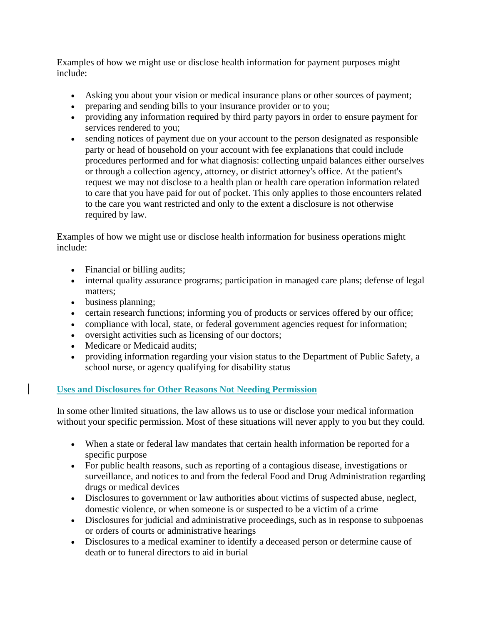Examples of how we might use or disclose health information for payment purposes might include:

- Asking you about your vision or medical insurance plans or other sources of payment;
- preparing and sending bills to your insurance provider or to you;
- providing any information required by third party payors in order to ensure payment for services rendered to you;
- sending notices of payment due on your account to the person designated as responsible party or head of household on your account with fee explanations that could include procedures performed and for what diagnosis: collecting unpaid balances either ourselves or through a collection agency, attorney, or district attorney's office. At the patient's request we may not disclose to a health plan or health care operation information related to care that you have paid for out of pocket. This only applies to those encounters related to the care you want restricted and only to the extent a disclosure is not otherwise required by law.

Examples of how we might use or disclose health information for business operations might include:

- Financial or billing audits;
- internal quality assurance programs; participation in managed care plans; defense of legal matters;
- business planning;
- certain research functions; informing you of products or services offered by our office;
- compliance with local, state, or federal government agencies request for information;
- oversight activities such as licensing of our doctors;
- Medicare or Medicaid audits;
- providing information regarding your vision status to the Department of Public Safety, a school nurse, or agency qualifying for disability status

# **Uses and Disclosures for Other Reasons Not Needing Permission**

In some other limited situations, the law allows us to use or disclose your medical information without your specific permission. Most of these situations will never apply to you but they could.

- When a state or federal law mandates that certain health information be reported for a specific purpose
- For public health reasons, such as reporting of a contagious disease, investigations or surveillance, and notices to and from the federal Food and Drug Administration regarding drugs or medical devices
- Disclosures to government or law authorities about victims of suspected abuse, neglect, domestic violence, or when someone is or suspected to be a victim of a crime
- Disclosures for judicial and administrative proceedings, such as in response to subpoenas or orders of courts or administrative hearings
- Disclosures to a medical examiner to identify a deceased person or determine cause of death or to funeral directors to aid in burial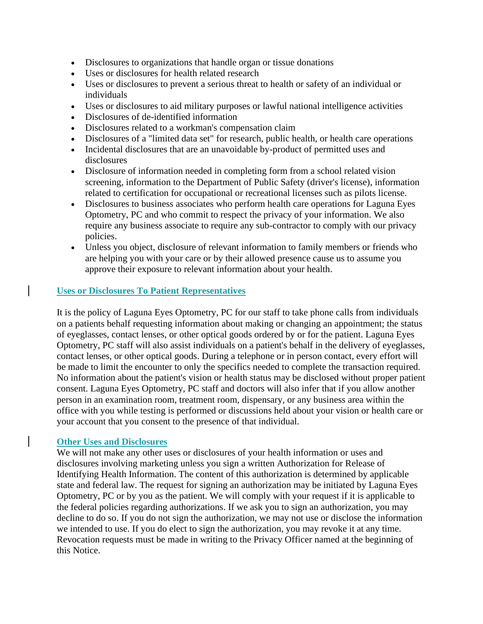- Disclosures to organizations that handle organ or tissue donations
- Uses or disclosures for health related research
- Uses or disclosures to prevent a serious threat to health or safety of an individual or individuals
- Uses or disclosures to aid military purposes or lawful national intelligence activities
- Disclosures of de-identified information
- Disclosures related to a workman's compensation claim
- Disclosures of a "limited data set" for research, public health, or health care operations
- Incidental disclosures that are an unavoidable by-product of permitted uses and disclosures
- Disclosure of information needed in completing form from a school related vision screening, information to the Department of Public Safety (driver's license), information related to certification for occupational or recreational licenses such as pilots license.
- Disclosures to business associates who perform health care operations for Laguna Eyes Optometry, PC and who commit to respect the privacy of your information. We also require any business associate to require any sub-contractor to comply with our privacy policies.
- Unless you object, disclosure of relevant information to family members or friends who are helping you with your care or by their allowed presence cause us to assume you approve their exposure to relevant information about your health.

#### **Uses or Disclosures To Patient Representatives**

It is the policy of Laguna Eyes Optometry, PC for our staff to take phone calls from individuals on a patients behalf requesting information about making or changing an appointment; the status of eyeglasses, contact lenses, or other optical goods ordered by or for the patient. Laguna Eyes Optometry, PC staff will also assist individuals on a patient's behalf in the delivery of eyeglasses, contact lenses, or other optical goods. During a telephone or in person contact, every effort will be made to limit the encounter to only the specifics needed to complete the transaction required. No information about the patient's vision or health status may be disclosed without proper patient consent. Laguna Eyes Optometry, PC staff and doctors will also infer that if you allow another person in an examination room, treatment room, dispensary, or any business area within the office with you while testing is performed or discussions held about your vision or health care or your account that you consent to the presence of that individual.

#### **Other Uses and Disclosures**

We will not make any other uses or disclosures of your health information or uses and disclosures involving marketing unless you sign a written Authorization for Release of Identifying Health Information. The content of this authorization is determined by applicable state and federal law. The request for signing an authorization may be initiated by Laguna Eyes Optometry, PC or by you as the patient. We will comply with your request if it is applicable to the federal policies regarding authorizations. If we ask you to sign an authorization, you may decline to do so. If you do not sign the authorization, we may not use or disclose the information we intended to use. If you do elect to sign the authorization, you may revoke it at any time. Revocation requests must be made in writing to the Privacy Officer named at the beginning of this Notice.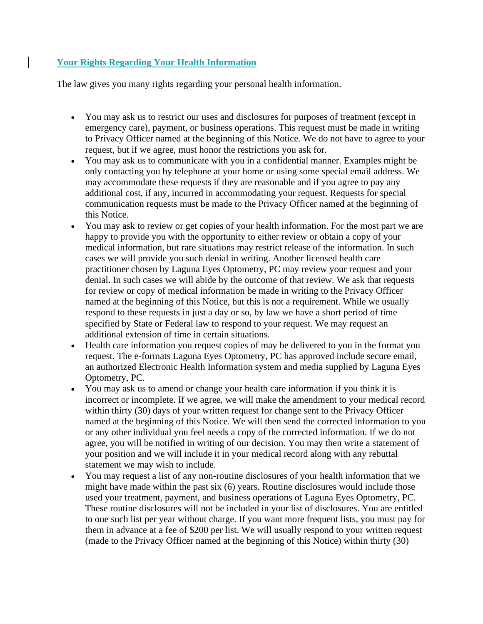### **Your Rights Regarding Your Health Information**

The law gives you many rights regarding your personal health information.

- You may ask us to restrict our uses and disclosures for purposes of treatment (except in emergency care), payment, or business operations. This request must be made in writing to Privacy Officer named at the beginning of this Notice. We do not have to agree to your request, but if we agree, must honor the restrictions you ask for.
- You may ask us to communicate with you in a confidential manner. Examples might be only contacting you by telephone at your home or using some special email address. We may accommodate these requests if they are reasonable and if you agree to pay any additional cost, if any, incurred in accommodating your request. Requests for special communication requests must be made to the Privacy Officer named at the beginning of this Notice.
- You may ask to review or get copies of your health information. For the most part we are happy to provide you with the opportunity to either review or obtain a copy of your medical information, but rare situations may restrict release of the information. In such cases we will provide you such denial in writing. Another licensed health care practitioner chosen by Laguna Eyes Optometry, PC may review your request and your denial. In such cases we will abide by the outcome of that review. We ask that requests for review or copy of medical information be made in writing to the Privacy Officer named at the beginning of this Notice, but this is not a requirement. While we usually respond to these requests in just a day or so, by law we have a short period of time specified by State or Federal law to respond to your request. We may request an additional extension of time in certain situations.
- Health care information you request copies of may be delivered to you in the format you request. The e-formats Laguna Eyes Optometry, PC has approved include secure email, an authorized Electronic Health Information system and media supplied by Laguna Eyes Optometry, PC.
- You may ask us to amend or change your health care information if you think it is incorrect or incomplete. If we agree, we will make the amendment to your medical record within thirty (30) days of your written request for change sent to the Privacy Officer named at the beginning of this Notice. We will then send the corrected information to you or any other individual you feel needs a copy of the corrected information. If we do not agree, you will be notified in writing of our decision. You may then write a statement of your position and we will include it in your medical record along with any rebuttal statement we may wish to include.
- You may request a list of any non-routine disclosures of your health information that we might have made within the past six (6) years. Routine disclosures would include those used your treatment, payment, and business operations of Laguna Eyes Optometry, PC. These routine disclosures will not be included in your list of disclosures. You are entitled to one such list per year without charge. If you want more frequent lists, you must pay for them in advance at a fee of \$200 per list. We will usually respond to your written request (made to the Privacy Officer named at the beginning of this Notice) within thirty (30)